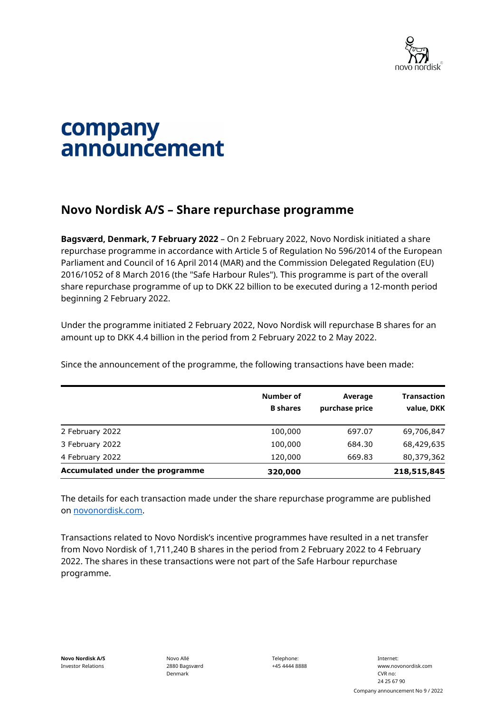

## company announcement

## **Novo Nordisk A/S – Share repurchase programme**

**Bagsværd, Denmark, 7 February 2022** – On 2 February 2022, Novo Nordisk initiated a share repurchase programme in accordance with Article 5 of Regulation No 596/2014 of the European Parliament and Council of 16 April 2014 (MAR) and the Commission Delegated Regulation (EU) 2016/1052 of 8 March 2016 (the "Safe Harbour Rules"). This programme is part of the overall share repurchase programme of up to DKK 22 billion to be executed during a 12-month period beginning 2 February 2022.

Under the programme initiated 2 February 2022, Novo Nordisk will repurchase B shares for an amount up to DKK 4.4 billion in the period from 2 February 2022 to 2 May 2022.

Since the announcement of the programme, the following transactions have been made:

|                                 | Number of<br><b>B</b> shares | Average<br>purchase price | <b>Transaction</b><br>value, DKK |
|---------------------------------|------------------------------|---------------------------|----------------------------------|
| 2 February 2022                 | 100,000                      | 697.07                    | 69,706,847                       |
| 3 February 2022                 | 100,000                      | 684.30                    | 68,429,635                       |
| 4 February 2022                 | 120,000                      | 669.83                    | 80,379,362                       |
| Accumulated under the programme | 320,000                      |                           | 218,515,845                      |

The details for each transaction made under the share repurchase programme are published on [novonordisk.com.](https://www.novonordisk.com/news-and-media/news-and-ir-materials.html)

Transactions related to Novo Nordisk's incentive programmes have resulted in a net transfer from Novo Nordisk of 1,711,240 B shares in the period from 2 February 2022 to 4 February 2022. The shares in these transactions were not part of the Safe Harbour repurchase programme.

Telephone: +45 4444 8888